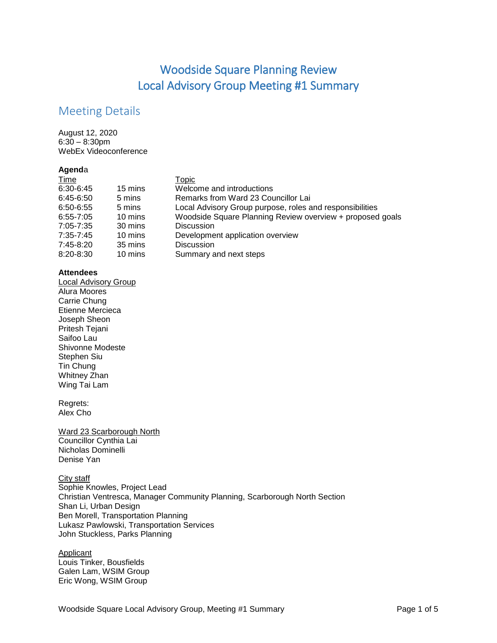# Woodside Square Planning Review Local Advisory Group Meeting #1 Summary

# Meeting Details

August 12, 2020 6:30 – 8:30pm WebEx Videoconference

### **Agend**a

|         | Topic                                                     |
|---------|-----------------------------------------------------------|
| 15 mins | Welcome and introductions                                 |
| 5 mins  | Remarks from Ward 23 Councillor Lai                       |
| 5 mins  | Local Advisory Group purpose, roles and responsibilities  |
| 10 mins | Woodside Square Planning Review overview + proposed goals |
| 30 mins | <b>Discussion</b>                                         |
| 10 mins | Development application overview                          |
| 35 mins | <b>Discussion</b>                                         |
| 10 mins | Summary and next steps                                    |
|         |                                                           |

### **Attendees**

Local Advisory Group Alura Moores Carrie Chung Etienne Mercieca Joseph Sheon Pritesh Tejani Saifoo Lau Shivonne Modeste Stephen Siu Tin Chung Whitney Zhan Wing Tai Lam

#### Regrets: Alex Cho

Ward 23 Scarborough North Councillor Cynthia Lai Nicholas Dominelli Denise Yan

City staff Sophie Knowles, Project Lead Christian Ventresca, Manager Community Planning, Scarborough North Section Shan Li, Urban Design Ben Morell, Transportation Planning Lukasz Pawlowski, Transportation Services John Stuckless, Parks Planning

#### **Applicant**

Louis Tinker, Bousfields Galen Lam, WSIM Group Eric Wong, WSIM Group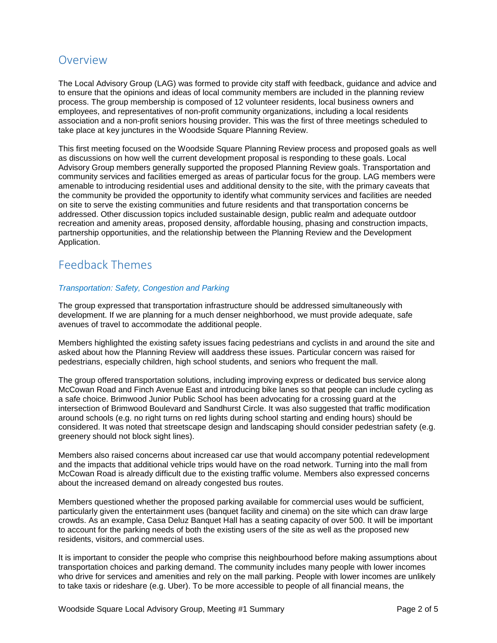# Overview

The Local Advisory Group (LAG) was formed to provide city staff with feedback, guidance and advice and to ensure that the opinions and ideas of local community members are included in the planning review process. The group membership is composed of 12 volunteer residents, local business owners and employees, and representatives of non-profit community organizations, including a local residents association and a non-profit seniors housing provider. This was the first of three meetings scheduled to take place at key junctures in the Woodside Square Planning Review.

This first meeting focused on the Woodside Square Planning Review process and proposed goals as well as discussions on how well the current development proposal is responding to these goals. Local Advisory Group members generally supported the proposed Planning Review goals. Transportation and community services and facilities emerged as areas of particular focus for the group. LAG members were amenable to introducing residential uses and additional density to the site, with the primary caveats that the community be provided the opportunity to identify what community services and facilities are needed on site to serve the existing communities and future residents and that transportation concerns be addressed. Other discussion topics included sustainable design, public realm and adequate outdoor recreation and amenity areas, proposed density, affordable housing, phasing and construction impacts, partnership opportunities, and the relationship between the Planning Review and the Development Application.

# Feedback Themes

### *Transportation: Safety, Congestion and Parking*

The group expressed that transportation infrastructure should be addressed simultaneously with development. If we are planning for a much denser neighborhood, we must provide adequate, safe avenues of travel to accommodate the additional people.

Members highlighted the existing safety issues facing pedestrians and cyclists in and around the site and asked about how the Planning Review will aaddress these issues. Particular concern was raised for pedestrians, especially children, high school students, and seniors who frequent the mall.

The group offered transportation solutions, including improving express or dedicated bus service along McCowan Road and Finch Avenue East and introducing bike lanes so that people can include cycling as a safe choice. Brimwood Junior Public School has been advocating for a crossing guard at the intersection of Brimwood Boulevard and Sandhurst Circle. It was also suggested that traffic modification around schools (e.g. no right turns on red lights during school starting and ending hours) should be considered. It was noted that streetscape design and landscaping should consider pedestrian safety (e.g. greenery should not block sight lines).

Members also raised concerns about increased car use that would accompany potential redevelopment and the impacts that additional vehicle trips would have on the road network. Turning into the mall from McCowan Road is already difficult due to the existing traffic volume. Members also expressed concerns about the increased demand on already congested bus routes.

Members questioned whether the proposed parking available for commercial uses would be sufficient, particularly given the entertainment uses (banquet facility and cinema) on the site which can draw large crowds. As an example, Casa Deluz Banquet Hall has a seating capacity of over 500. It will be important to account for the parking needs of both the existing users of the site as well as the proposed new residents, visitors, and commercial uses.

It is important to consider the people who comprise this neighbourhood before making assumptions about transportation choices and parking demand. The community includes many people with lower incomes who drive for services and amenities and rely on the mall parking. People with lower incomes are unlikely to take taxis or rideshare (e.g. Uber). To be more accessible to people of all financial means, the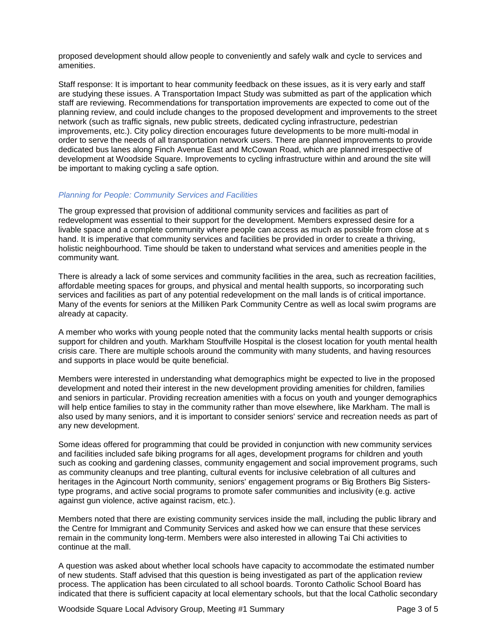proposed development should allow people to conveniently and safely walk and cycle to services and amenities.

Staff response: It is important to hear community feedback on these issues, as it is very early and staff are studying these issues. A Transportation Impact Study was submitted as part of the application which staff are reviewing. Recommendations for transportation improvements are expected to come out of the planning review, and could include changes to the proposed development and improvements to the street network (such as traffic signals, new public streets, dedicated cycling infrastructure, pedestrian improvements, etc.). City policy direction encourages future developments to be more multi-modal in order to serve the needs of all transportation network users. There are planned improvements to provide dedicated bus lanes along Finch Avenue East and McCowan Road, which are planned irrespective of development at Woodside Square. Improvements to cycling infrastructure within and around the site will be important to making cycling a safe option.

#### *Planning for People: Community Services and Facilities*

The group expressed that provision of additional community services and facilities as part of redevelopment was essential to their support for the development. Members expressed desire for a livable space and a complete community where people can access as much as possible from close at s hand. It is imperative that community services and facilities be provided in order to create a thriving, holistic neighbourhood. Time should be taken to understand what services and amenities people in the community want.

There is already a lack of some services and community facilities in the area, such as recreation facilities, affordable meeting spaces for groups, and physical and mental health supports, so incorporating such services and facilities as part of any potential redevelopment on the mall lands is of critical importance. Many of the events for seniors at the Milliken Park Community Centre as well as local swim programs are already at capacity.

A member who works with young people noted that the community lacks mental health supports or crisis support for children and youth. Markham Stouffville Hospital is the closest location for youth mental health crisis care. There are multiple schools around the community with many students, and having resources and supports in place would be quite beneficial.

Members were interested in understanding what demographics might be expected to live in the proposed development and noted their interest in the new development providing amenities for children, families and seniors in particular. Providing recreation amenities with a focus on youth and younger demographics will help entice families to stay in the community rather than move elsewhere, like Markham. The mall is also used by many seniors, and it is important to consider seniors' service and recreation needs as part of any new development.

Some ideas offered for programming that could be provided in conjunction with new community services and facilities included safe biking programs for all ages, development programs for children and youth such as cooking and gardening classes, community engagement and social improvement programs, such as community cleanups and tree planting, cultural events for inclusive celebration of all cultures and heritages in the Agincourt North community, seniors' engagement programs or Big Brothers Big Sisterstype programs, and active social programs to promote safer communities and inclusivity (e.g. active against gun violence, active against racism, etc.).

Members noted that there are existing community services inside the mall, including the public library and the Centre for Immigrant and Community Services and asked how we can ensure that these services remain in the community long-term. Members were also interested in allowing Tai Chi activities to continue at the mall.

A question was asked about whether local schools have capacity to accommodate the estimated number of new students. Staff advised that this question is being investigated as part of the application review process. The application has been circulated to all school boards. Toronto Catholic School Board has indicated that there is sufficient capacity at local elementary schools, but that the local Catholic secondary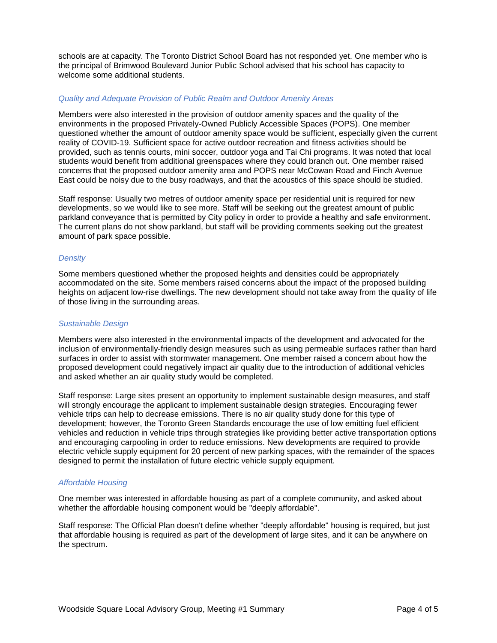schools are at capacity. The Toronto District School Board has not responded yet. One member who is the principal of Brimwood Boulevard Junior Public School advised that his school has capacity to welcome some additional students.

#### *Quality and Adequate Provision of Public Realm and Outdoor Amenity Areas*

Members were also interested in the provision of outdoor amenity spaces and the quality of the environments in the proposed Privately-Owned Publicly Accessible Spaces (POPS). One member questioned whether the amount of outdoor amenity space would be sufficient, especially given the current reality of COVID-19. Sufficient space for active outdoor recreation and fitness activities should be provided, such as tennis courts, mini soccer, outdoor yoga and Tai Chi programs. It was noted that local students would benefit from additional greenspaces where they could branch out. One member raised concerns that the proposed outdoor amenity area and POPS near McCowan Road and Finch Avenue East could be noisy due to the busy roadways, and that the acoustics of this space should be studied.

Staff response: Usually two metres of outdoor amenity space per residential unit is required for new developments, so we would like to see more. Staff will be seeking out the greatest amount of public parkland conveyance that is permitted by City policy in order to provide a healthy and safe environment. The current plans do not show parkland, but staff will be providing comments seeking out the greatest amount of park space possible.

#### *Density*

Some members questioned whether the proposed heights and densities could be appropriately accommodated on the site. Some members raised concerns about the impact of the proposed building heights on adjacent low-rise dwellings. The new development should not take away from the quality of life of those living in the surrounding areas.

#### *Sustainable Design*

Members were also interested in the environmental impacts of the development and advocated for the inclusion of environmentally-friendly design measures such as using permeable surfaces rather than hard surfaces in order to assist with stormwater management. One member raised a concern about how the proposed development could negatively impact air quality due to the introduction of additional vehicles and asked whether an air quality study would be completed.

Staff response: Large sites present an opportunity to implement sustainable design measures, and staff will strongly encourage the applicant to implement sustainable design strategies. Encouraging fewer vehicle trips can help to decrease emissions. There is no air quality study done for this type of development; however, the Toronto Green Standards encourage the use of low emitting fuel efficient vehicles and reduction in vehicle trips through strategies like providing better active transportation options and encouraging carpooling in order to reduce emissions. New developments are required to provide electric vehicle supply equipment for 20 percent of new parking spaces, with the remainder of the spaces designed to permit the installation of future electric vehicle supply equipment.

#### *Affordable Housing*

One member was interested in affordable housing as part of a complete community, and asked about whether the affordable housing component would be "deeply affordable".

Staff response: The Official Plan doesn't define whether "deeply affordable" housing is required, but just that affordable housing is required as part of the development of large sites, and it can be anywhere on the spectrum.